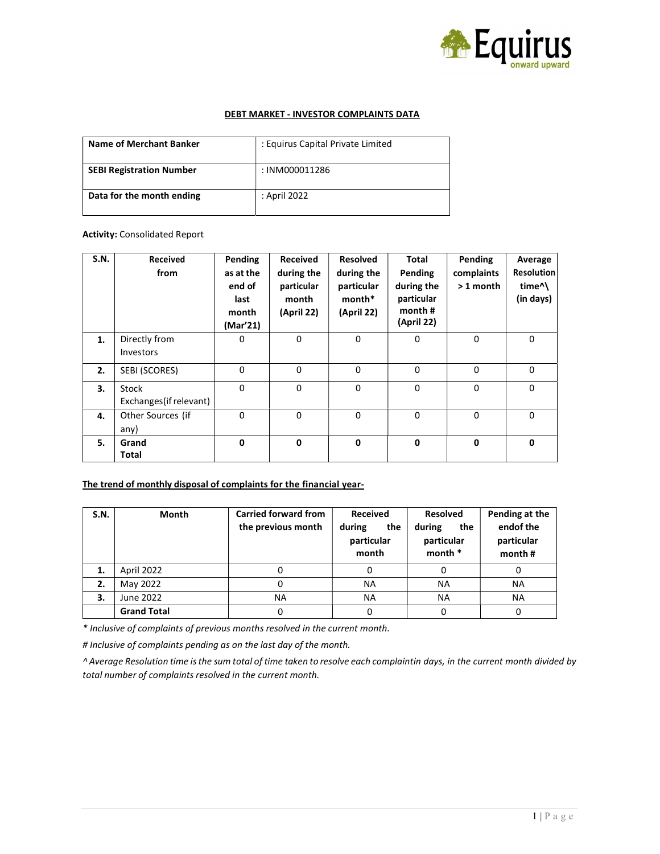

#### DEBT MARKET - INVESTOR COMPLAINTS DATA

| Name of Merchant Banker         | : Equirus Capital Private Limited |
|---------------------------------|-----------------------------------|
| <b>SEBI Registration Number</b> | : INM000011286                    |
| Data for the month ending       | : April 2022                      |

#### Activity: Consolidated Report

| <b>S.N.</b> | Received<br>from                  | Pending<br>as at the<br>end of<br>last<br>month<br>(Mar'21) | Received<br>during the<br>particular<br>month<br>(April 22) | Resolved<br>during the<br>particular<br>month*<br>(April 22) | <b>Total</b><br>Pending<br>during the<br>particular<br>month#<br>(April 22) | Pending<br>complaints<br>$>1$ month | Average<br><b>Resolution</b><br>time <sup>^</sup><br>(in days) |
|-------------|-----------------------------------|-------------------------------------------------------------|-------------------------------------------------------------|--------------------------------------------------------------|-----------------------------------------------------------------------------|-------------------------------------|----------------------------------------------------------------|
| 1.          | Directly from<br><b>Investors</b> | 0                                                           | $\mathbf 0$                                                 | 0                                                            | 0                                                                           | $\mathbf 0$                         | $\mathbf 0$                                                    |
| 2.          | SEBI (SCORES)                     | 0                                                           | 0                                                           | 0                                                            | 0                                                                           | 0                                   | $\mathbf 0$                                                    |
| 3.          | Stock<br>Exchanges (if relevant)  | $\Omega$                                                    | $\Omega$                                                    | $\Omega$                                                     | $\Omega$                                                                    | $\mathbf{0}$                        | $\mathbf{0}$                                                   |
| 4.          | Other Sources (if<br>any)         | $\Omega$                                                    | $\Omega$                                                    | $\mathbf{0}$                                                 | $\Omega$                                                                    | 0                                   | $\mathbf{0}$                                                   |
| 5.          | Grand<br>Total                    | 0                                                           | $\mathbf{0}$                                                | $\mathbf 0$                                                  | $\mathbf 0$                                                                 | $\mathbf 0$                         | $\mathbf 0$                                                    |

## The trend of monthly disposal of complaints for the financial year-

| S.N. | Month              | <b>Carried forward from</b><br>the previous month | <b>Received</b><br>during<br>the<br>particular<br>month | <b>Resolved</b><br>during<br>the<br>particular<br>month * | Pending at the<br>endof the<br>particular<br>month# |
|------|--------------------|---------------------------------------------------|---------------------------------------------------------|-----------------------------------------------------------|-----------------------------------------------------|
| 1.   | April 2022         |                                                   |                                                         |                                                           | 0                                                   |
| 2.   | May 2022           |                                                   | ΝA                                                      | <b>NA</b>                                                 | NA                                                  |
| 3.   | June 2022          | NA                                                | ΝA                                                      | <b>NA</b>                                                 | <b>NA</b>                                           |
|      | <b>Grand Total</b> |                                                   |                                                         | 0                                                         | 0                                                   |

\* Inclusive of complaints of previous months resolved in the current month.

# Inclusive of complaints pending as on the last day of the month.

^ Average Resolution time is the sum total of time taken to resolve each complaintin days, in the current month divided by total number of complaints resolved in the current month.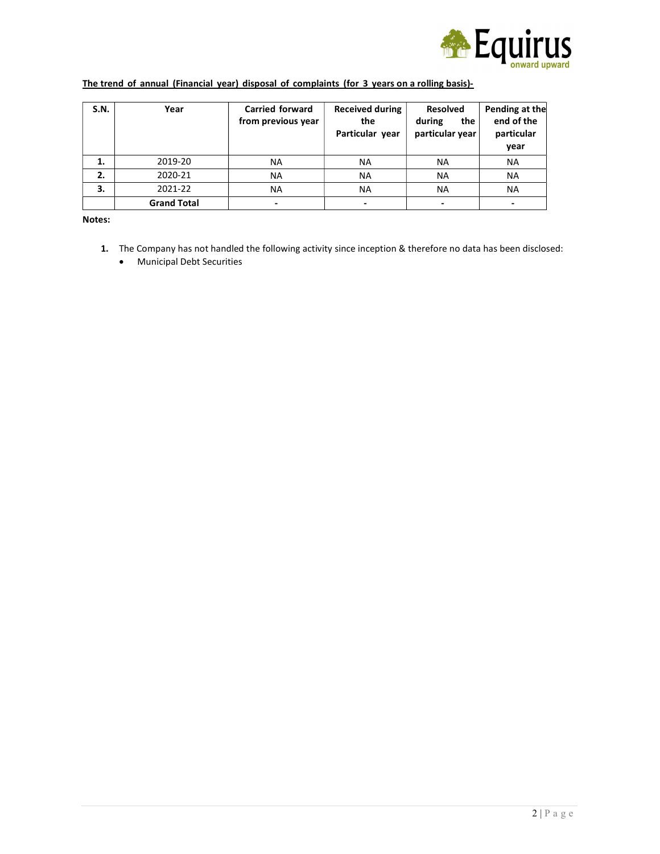

# The trend of annual (Financial year) disposal of complaints (for 3 years on a rolling basis)-

| S.N. | Year               | <b>Carried forward</b><br>from previous year | <b>Received during</b><br>the<br>Particular year | <b>Resolved</b><br>during<br>the<br>particular year | Pending at the<br>end of the<br>particular<br>vear |
|------|--------------------|----------------------------------------------|--------------------------------------------------|-----------------------------------------------------|----------------------------------------------------|
| 1.   | 2019-20            | NA                                           | <b>NA</b>                                        | ΝA                                                  | ΝA                                                 |
| 2.   | 2020-21            | NA                                           | NA.                                              | <b>NA</b>                                           | ΝA                                                 |
| 3.   | 2021-22            | <b>NA</b>                                    | <b>NA</b>                                        | <b>NA</b>                                           | <b>NA</b>                                          |
|      | <b>Grand Total</b> |                                              | $\overline{\phantom{0}}$                         |                                                     |                                                    |

Notes:

1. The Company has not handled the following activity since inception & therefore no data has been disclosed: Municipal Debt Securities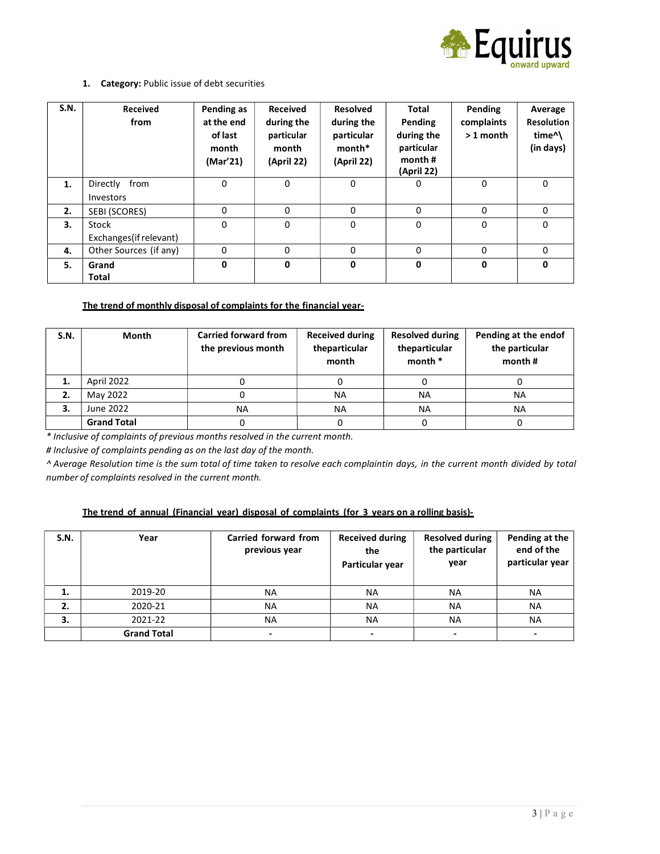

## 1. Category: Public issue of debt securities

| S.N. | Received<br>from        | Pending as<br>at the end<br>of last<br>month<br>(Mar'21) | <b>Received</b><br>during the<br>particular<br>month<br>(April 22) | <b>Resolved</b><br>during the<br>particular<br>month*<br>(April 22) | <b>Total</b><br>Pending<br>during the<br>particular<br>month $#$<br>(April 22) | Pending<br>complaints<br>$>1$ month | Average<br><b>Resolution</b><br>time <sup>^</sup><br>(in days) |
|------|-------------------------|----------------------------------------------------------|--------------------------------------------------------------------|---------------------------------------------------------------------|--------------------------------------------------------------------------------|-------------------------------------|----------------------------------------------------------------|
| 1.   | Directly from           | 0                                                        | 0                                                                  | 0                                                                   | 0                                                                              | 0                                   | 0                                                              |
|      | Investors               |                                                          |                                                                    |                                                                     |                                                                                |                                     |                                                                |
| 2.   | SEBI (SCORES)           | 0                                                        | 0                                                                  | 0                                                                   | 0                                                                              | 0                                   | 0                                                              |
| 3.   | Stock                   | 0                                                        | 0                                                                  | 0                                                                   | 0                                                                              | 0                                   | 0                                                              |
|      | Exchanges (if relevant) |                                                          |                                                                    |                                                                     |                                                                                |                                     |                                                                |
| 4.   | Other Sources (if any)  | 0                                                        | 0                                                                  | 0                                                                   | 0                                                                              | 0                                   | 0                                                              |
| 5.   | Grand                   | 0                                                        | 0                                                                  | 0                                                                   | 0                                                                              | 0                                   | 0                                                              |
|      | <b>Total</b>            |                                                          |                                                                    |                                                                     |                                                                                |                                     |                                                                |

## The trend of monthly disposal of complaints for the financial year-

| S.N. | Month              | <b>Carried forward from</b><br>the previous month | <b>Received during</b><br>theparticular<br>month | <b>Resolved during</b><br>theparticular<br>month * | Pending at the endof<br>the particular<br>month $#$ |
|------|--------------------|---------------------------------------------------|--------------------------------------------------|----------------------------------------------------|-----------------------------------------------------|
| 1.   | April 2022         |                                                   |                                                  |                                                    |                                                     |
| 2.   | May 2022           |                                                   | <b>NA</b>                                        | <b>NA</b>                                          | NA                                                  |
| 3.   | June 2022          | NA.                                               | <b>NA</b>                                        | <b>NA</b>                                          | NA                                                  |
|      | <b>Grand Total</b> |                                                   |                                                  |                                                    |                                                     |

\* Inclusive of complaints of previous months resolved in the current month.

# Inclusive of complaints pending as on the last day of the month.

^ Average Resolution time is the sum total of time taken to resolve each complaint in days, in the current month divided by total number of complaints resolved in the current month.

## The trend of annual (Financial year) disposal of complaints (for 3 years on a rolling basis)-

| S.N. | Year               | Carried forward from<br>previous year | <b>Received during</b><br>the<br>Particular year | <b>Resolved during</b><br>the particular<br>year | Pending at the<br>end of the<br>particular year |
|------|--------------------|---------------------------------------|--------------------------------------------------|--------------------------------------------------|-------------------------------------------------|
| 1.   | 2019-20            | NA                                    | NA                                               | <b>NA</b>                                        | <b>NA</b>                                       |
| 2.   | 2020-21            | <b>NA</b>                             | NA                                               | <b>NA</b>                                        | NA                                              |
| 3.   | 2021-22            | <b>NA</b>                             | NA                                               | <b>NA</b>                                        | <b>NA</b>                                       |
|      | <b>Grand Total</b> | -                                     | $\overline{\phantom{0}}$                         |                                                  |                                                 |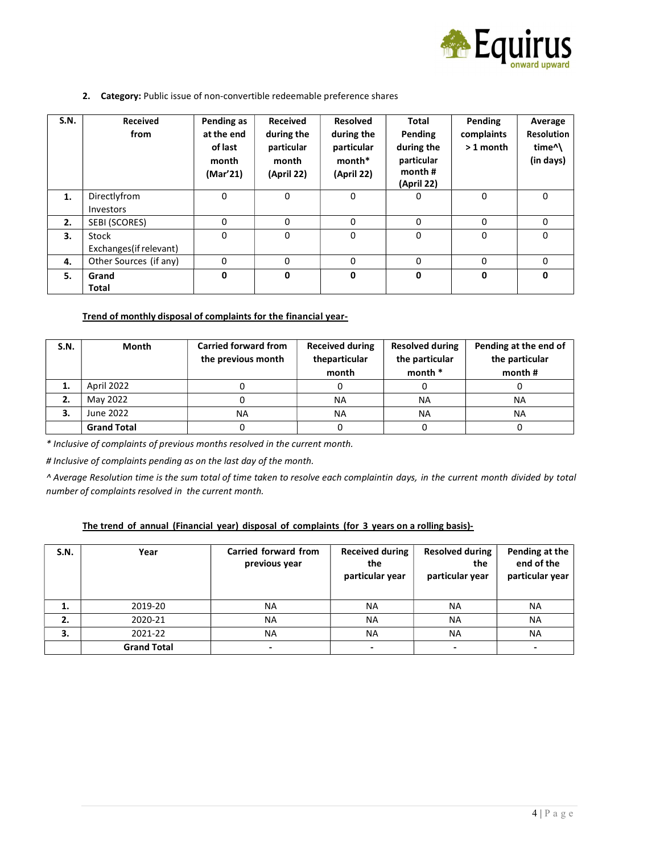

2. Category: Public issue of non-convertible redeemable preference shares

| S.N. | Received<br>from        | Pending as<br>at the end<br>of last<br>month<br>(Mar'21) | <b>Received</b><br>during the<br>particular<br>month<br>(April 22) | <b>Resolved</b><br>during the<br>particular<br>month*<br>(April 22) | <b>Total</b><br>Pending<br>during the<br>particular<br>month $#$<br>(April 22) | Pending<br>complaints<br>$>1$ month | Average<br><b>Resolution</b><br>time <sup>^</sup><br>(in days) |
|------|-------------------------|----------------------------------------------------------|--------------------------------------------------------------------|---------------------------------------------------------------------|--------------------------------------------------------------------------------|-------------------------------------|----------------------------------------------------------------|
| 1.   | Directlyfrom            | 0                                                        | 0                                                                  | 0                                                                   | 0                                                                              | $\Omega$                            | 0                                                              |
|      | Investors               |                                                          |                                                                    |                                                                     |                                                                                |                                     |                                                                |
| 2.   | SEBI (SCORES)           | 0                                                        | $\mathbf{0}$                                                       | 0                                                                   | 0                                                                              | 0                                   | 0                                                              |
| 3.   | Stock                   | 0                                                        | $\mathbf{0}$                                                       | 0                                                                   | 0                                                                              | $\Omega$                            | $\mathbf 0$                                                    |
|      | Exchanges (if relevant) |                                                          |                                                                    |                                                                     |                                                                                |                                     |                                                                |
| 4.   | Other Sources (if any)  | 0                                                        | 0                                                                  | $\mathbf 0$                                                         | 0                                                                              | 0                                   | 0                                                              |
| 5.   | Grand                   | 0                                                        | 0                                                                  | $\mathbf 0$                                                         | 0                                                                              | 0                                   | $\mathbf{0}$                                                   |
|      | <b>Total</b>            |                                                          |                                                                    |                                                                     |                                                                                |                                     |                                                                |

## Trend of monthly disposal of complaints for the financial year-

| S.N. | Month              | <b>Carried forward from</b><br>the previous month | <b>Received during</b><br>theparticular<br>month | <b>Resolved during</b><br>the particular<br>month * | Pending at the end of<br>the particular<br>month# |
|------|--------------------|---------------------------------------------------|--------------------------------------------------|-----------------------------------------------------|---------------------------------------------------|
|      | April 2022         |                                                   |                                                  |                                                     |                                                   |
|      | May 2022           |                                                   | <b>NA</b>                                        | <b>NA</b>                                           | NA                                                |
| З.   | June 2022          | NA.                                               | <b>NA</b>                                        | <b>NA</b>                                           | <b>NA</b>                                         |
|      | <b>Grand Total</b> |                                                   |                                                  |                                                     |                                                   |

\* Inclusive of complaints of previous months resolved in the current month.

# Inclusive of complaints pending as on the last day of the month.

^ Average Resolution time is the sum total of time taken to resolve each complaint in days, in the current month divided by total number of complaints resolved in the current month.

#### The trend of annual (Financial year) disposal of complaints (for 3 years on a rolling basis)-

| S.N. | Year               | Carried forward from<br>previous year | <b>Received during</b><br>the<br>particular year | <b>Resolved during</b><br>the<br>particular year | Pending at the<br>end of the<br>particular year |
|------|--------------------|---------------------------------------|--------------------------------------------------|--------------------------------------------------|-------------------------------------------------|
| 1.   | 2019-20            | <b>NA</b>                             | NA                                               | <b>NA</b>                                        | <b>NA</b>                                       |
| 2.   | 2020-21            | <b>NA</b>                             | <b>NA</b>                                        | <b>NA</b>                                        | <b>NA</b>                                       |
| з.   | 2021-22            | <b>NA</b>                             | <b>NA</b>                                        | <b>NA</b>                                        | <b>NA</b>                                       |
|      | <b>Grand Total</b> | $\overline{\phantom{0}}$              |                                                  |                                                  | $\overline{\phantom{0}}$                        |